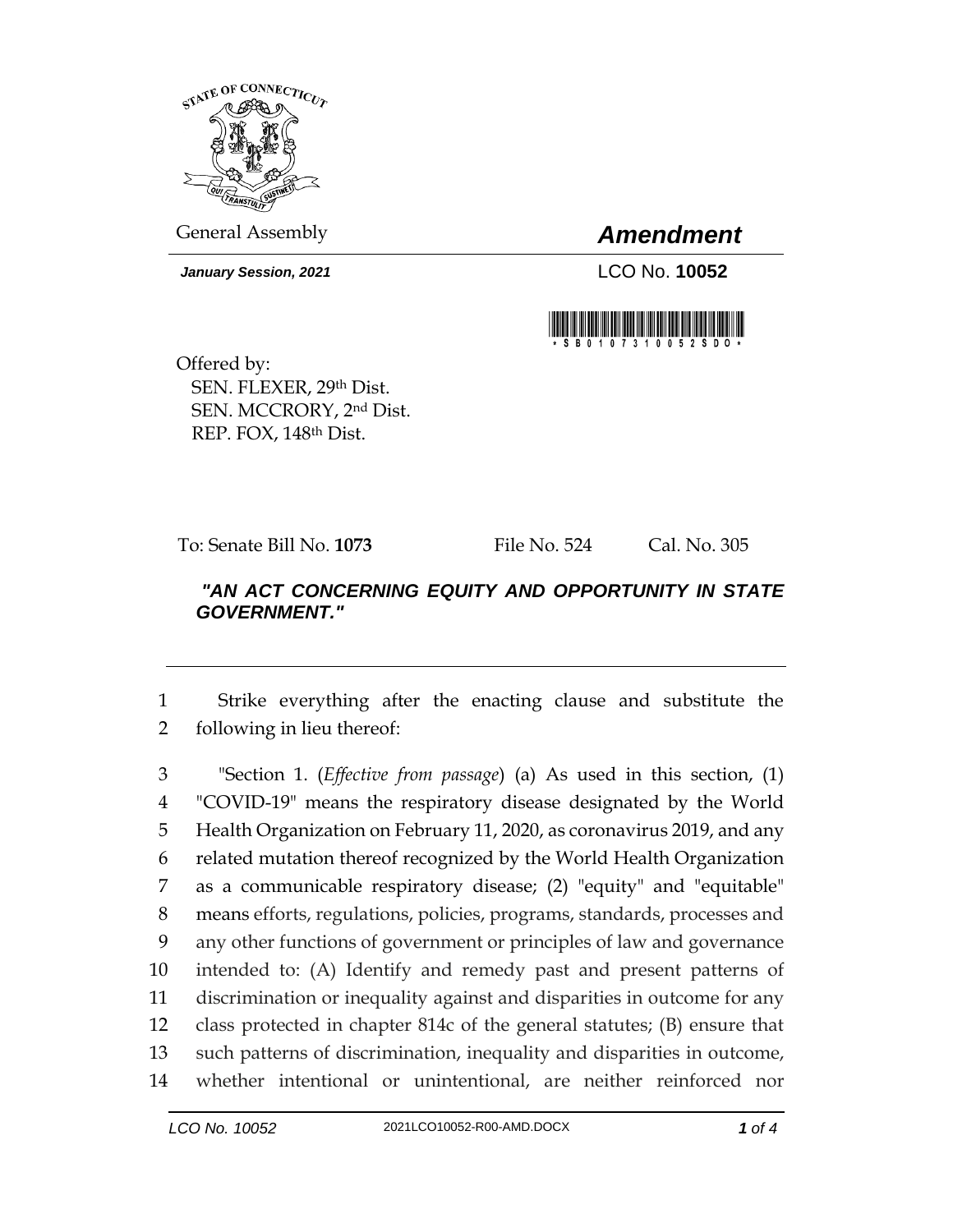

General Assembly *Amendment*

*January Session, 2021* LCO No. **10052**



Offered by: SEN. FLEXER, 29th Dist. SEN. MCCRORY, 2nd Dist. REP. FOX, 148th Dist.

To: Senate Bill No. **1073** File No. 524 Cal. No. 305

## *"AN ACT CONCERNING EQUITY AND OPPORTUNITY IN STATE GOVERNMENT."*

1 Strike everything after the enacting clause and substitute the 2 following in lieu thereof:

 "Section 1. (*Effective from passage*) (a) As used in this section, (1) "COVID-19" means the respiratory disease designated by the World Health Organization on February 11, 2020, as coronavirus 2019, and any related mutation thereof recognized by the World Health Organization as a communicable respiratory disease; (2) "equity" and "equitable" means efforts, regulations, policies, programs, standards, processes and any other functions of government or principles of law and governance intended to: (A) Identify and remedy past and present patterns of discrimination or inequality against and disparities in outcome for any class protected in chapter 814c of the general statutes; (B) ensure that such patterns of discrimination, inequality and disparities in outcome, whether intentional or unintentional, are neither reinforced nor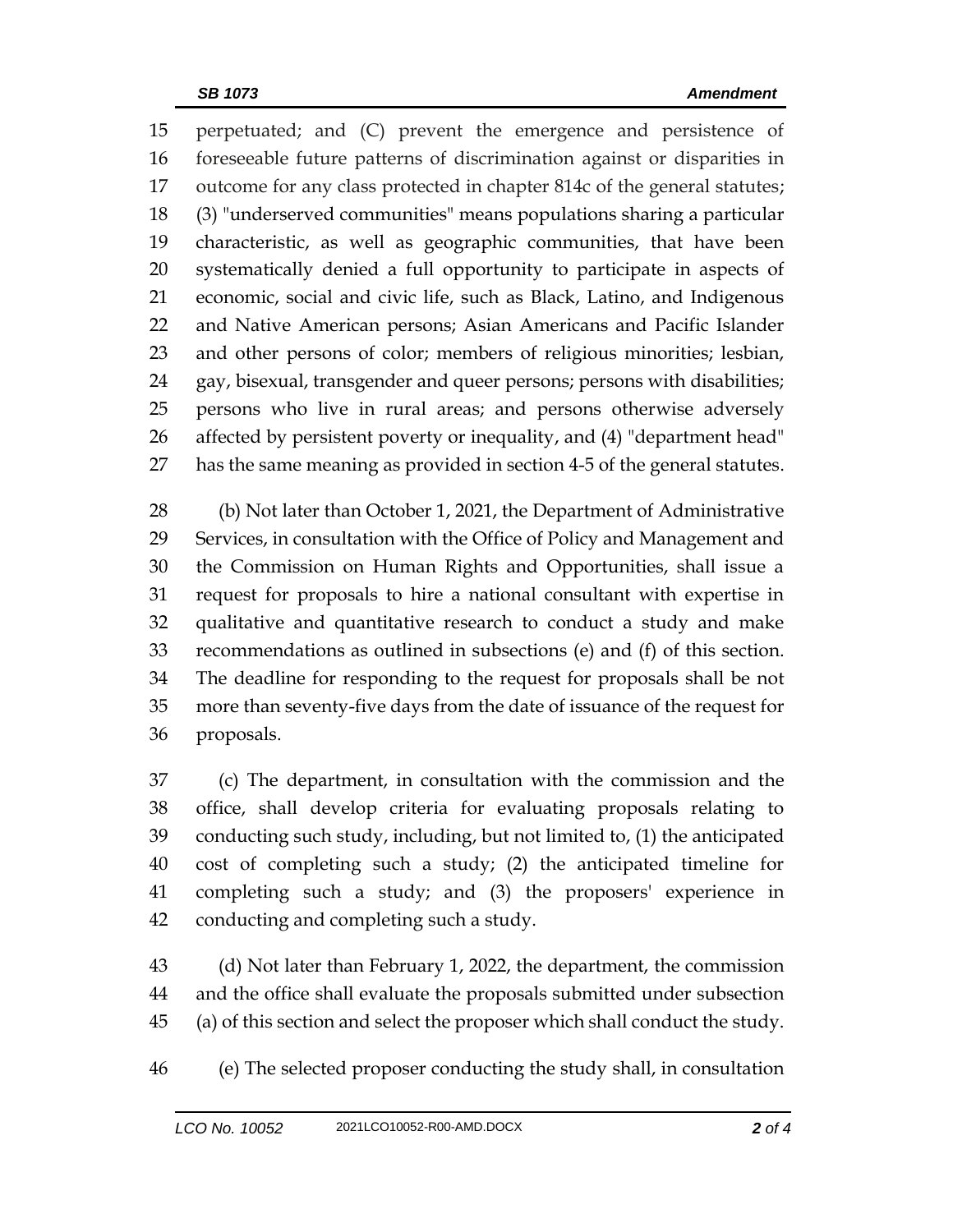perpetuated; and (C) prevent the emergence and persistence of foreseeable future patterns of discrimination against or disparities in outcome for any class protected in chapter 814c of the general statutes; (3) "underserved communities" means populations sharing a particular characteristic, as well as geographic communities, that have been systematically denied a full opportunity to participate in aspects of economic, social and civic life, such as Black, Latino, and Indigenous and Native American persons; Asian Americans and Pacific Islander and other persons of color; members of religious minorities; lesbian, gay, bisexual, transgender and queer persons; persons with disabilities; persons who live in rural areas; and persons otherwise adversely affected by persistent poverty or inequality, and (4) "department head" has the same meaning as provided in section 4-5 of the general statutes.

 (b) Not later than October 1, 2021, the Department of Administrative Services, in consultation with the Office of Policy and Management and the Commission on Human Rights and Opportunities, shall issue a request for proposals to hire a national consultant with expertise in qualitative and quantitative research to conduct a study and make recommendations as outlined in subsections (e) and (f) of this section. The deadline for responding to the request for proposals shall be not more than seventy-five days from the date of issuance of the request for proposals.

 (c) The department, in consultation with the commission and the office, shall develop criteria for evaluating proposals relating to conducting such study, including, but not limited to, (1) the anticipated cost of completing such a study; (2) the anticipated timeline for completing such a study; and (3) the proposers' experience in conducting and completing such a study.

 (d) Not later than February 1, 2022, the department, the commission and the office shall evaluate the proposals submitted under subsection (a) of this section and select the proposer which shall conduct the study.

(e) The selected proposer conducting the study shall, in consultation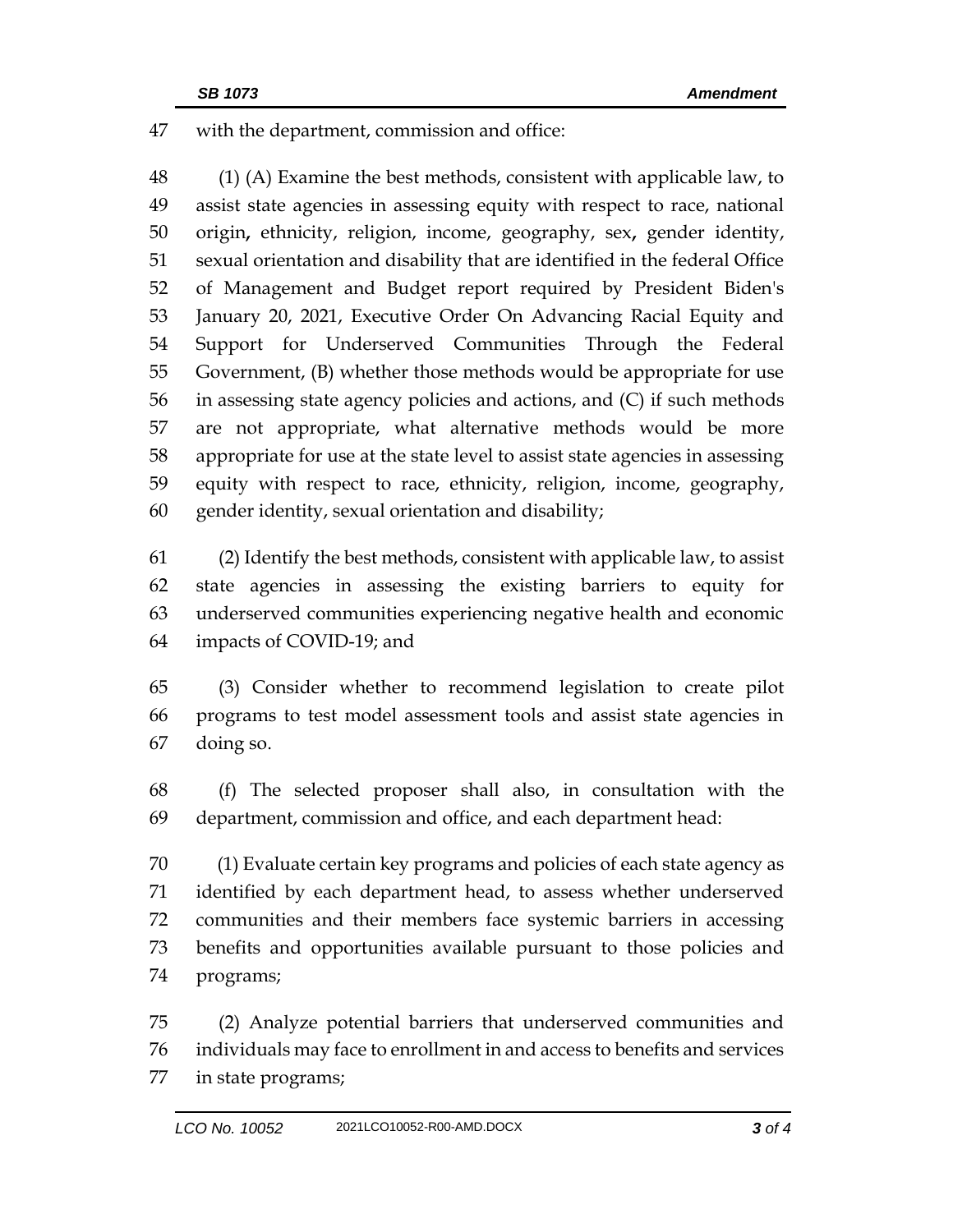with the department, commission and office:

48 (1) (A) Examine the best methods, consistent with applicable law, to assist state agencies in assessing equity with respect to race, national origin**,** ethnicity, religion, income, geography, sex**,** gender identity, sexual orientation and disability that are identified in the federal Office of Management and Budget report required by President Biden's January 20, 2021, Executive Order On Advancing Racial Equity and Support for Underserved Communities Through the Federal Government, (B) whether those methods would be appropriate for use in assessing state agency policies and actions, and (C) if such methods are not appropriate, what alternative methods would be more appropriate for use at the state level to assist state agencies in assessing equity with respect to race, ethnicity, religion, income, geography, gender identity, sexual orientation and disability;

 (2) Identify the best methods, consistent with applicable law, to assist state agencies in assessing the existing barriers to equity for underserved communities experiencing negative health and economic impacts of COVID-19; and

 (3) Consider whether to recommend legislation to create pilot programs to test model assessment tools and assist state agencies in doing so.

 (f) The selected proposer shall also, in consultation with the department, commission and office, and each department head:

 (1) Evaluate certain key programs and policies of each state agency as identified by each department head, to assess whether underserved communities and their members face systemic barriers in accessing benefits and opportunities available pursuant to those policies and programs;

 (2) Analyze potential barriers that underserved communities and individuals may face to enrollment in and access to benefits and services in state programs;